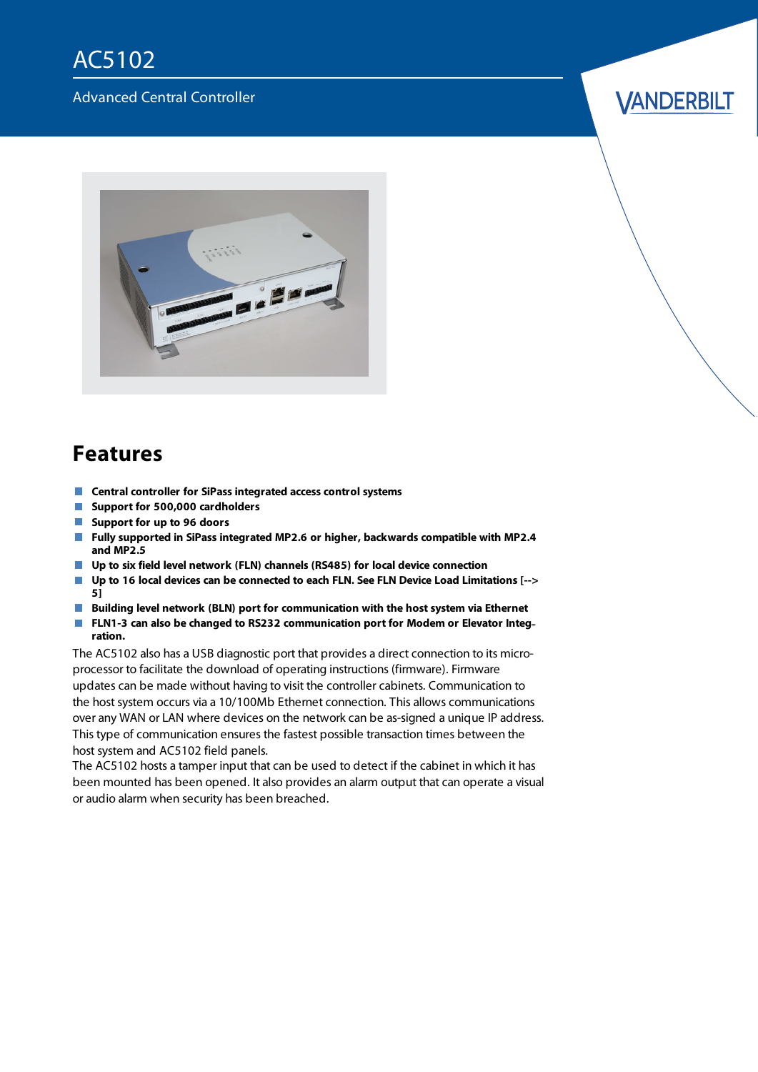## AC5102

#### Advanced Central Controller

#### *VANDERBILT*



#### **Features**

- **Central controller for SiPass integrated access control systems**
- **Support for 500,000 cardholders**
- **Support for up to 96 doors**
- **Fully supported in SiPass integrated MP2.6 or higher, backwards compatible with MP2.4 and MP2.5**
- **Up to six field level network (FLN) channels (RS485) for local device connection**
- $\Box$ **Up to 16 local devices can be connected to each FLN. See FLN Device Load [Limitations](#page-4-0) [--> [5\]](#page-4-0)**
- **Building level network (BLN) port for communication with the host system via Ethernet**  $\overline{\phantom{a}}$
- n. **FLN1-3 can also be changed to RS232 communication port for Modem or Elevator Integ ration.**

The AC5102 also has a USB diagnostic port that provides a direct connection to its microprocessor to facilitate the download of operating instructions (firmware). Firmware updates can be made without having to visit the controller cabinets. Communication to the host system occurs via a 10/100Mb Ethernet connection. This allows communications over any WAN or LAN where devices on the network can be as-signed a unique IP address. This type of communication ensures the fastest possible transaction times between the host system and AC5102 field panels.

The AC5102 hosts a tamper input that can be used to detect if the cabinet in which it has been mounted has been opened. It also provides an alarm output that can operate a visual or audio alarm when security has been breached.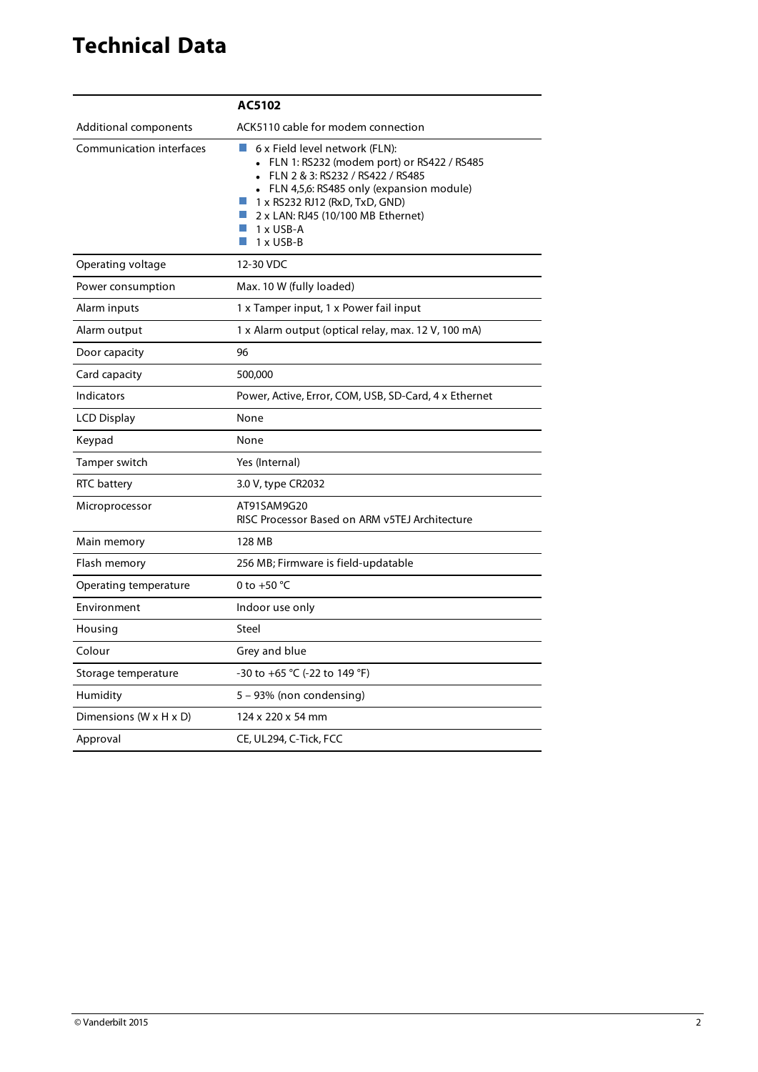## **Technical Data**

|                                      | AC5102                                                                                                                                                                                                                                                                   |
|--------------------------------------|--------------------------------------------------------------------------------------------------------------------------------------------------------------------------------------------------------------------------------------------------------------------------|
| Additional components                | ACK5110 cable for modem connection                                                                                                                                                                                                                                       |
| Communication interfaces             | m.<br>6 x Field level network (FLN):<br>• FLN 1: RS232 (modem port) or RS422 / RS485<br>FLN 2 & 3: RS232 / RS422 / RS485<br>• FLN 4,5,6: RS485 only (expansion module)<br>1 x RS232 RJ12 (RxD, TxD, GND)<br>2 x LAN: RJ45 (10/100 MB Ethernet)<br>1 x USB-A<br>1 x USB-B |
| Operating voltage                    | 12-30 VDC                                                                                                                                                                                                                                                                |
| Power consumption                    | Max. 10 W (fully loaded)                                                                                                                                                                                                                                                 |
| Alarm inputs                         | 1 x Tamper input, 1 x Power fail input                                                                                                                                                                                                                                   |
| Alarm output                         | 1 x Alarm output (optical relay, max. 12 V, 100 mA)                                                                                                                                                                                                                      |
| Door capacity                        | 96                                                                                                                                                                                                                                                                       |
| Card capacity                        | 500,000                                                                                                                                                                                                                                                                  |
| Indicators                           | Power, Active, Error, COM, USB, SD-Card, 4 x Ethernet                                                                                                                                                                                                                    |
| LCD Display                          | None                                                                                                                                                                                                                                                                     |
| Keypad                               | None                                                                                                                                                                                                                                                                     |
| Tamper switch                        | Yes (Internal)                                                                                                                                                                                                                                                           |
| RTC battery                          | 3.0 V, type CR2032                                                                                                                                                                                                                                                       |
| Microprocessor                       | AT91SAM9G20<br>RISC Processor Based on ARM v5TEJ Architecture                                                                                                                                                                                                            |
| Main memory                          | 128 MB                                                                                                                                                                                                                                                                   |
| Flash memory                         | 256 MB; Firmware is field-updatable                                                                                                                                                                                                                                      |
| Operating temperature                | 0 to +50 $^{\circ}$ C                                                                                                                                                                                                                                                    |
| Environment                          | Indoor use only                                                                                                                                                                                                                                                          |
| Housing                              | Steel                                                                                                                                                                                                                                                                    |
| Colour                               | Grey and blue                                                                                                                                                                                                                                                            |
| Storage temperature                  | -30 to +65 °C (-22 to 149 °F)                                                                                                                                                                                                                                            |
| Humidity                             | 5 – 93% (non condensing)                                                                                                                                                                                                                                                 |
| Dimensions ( $W \times H \times D$ ) | 124 x 220 x 54 mm                                                                                                                                                                                                                                                        |
| Approval                             | CE, UL294, C-Tick, FCC                                                                                                                                                                                                                                                   |
|                                      |                                                                                                                                                                                                                                                                          |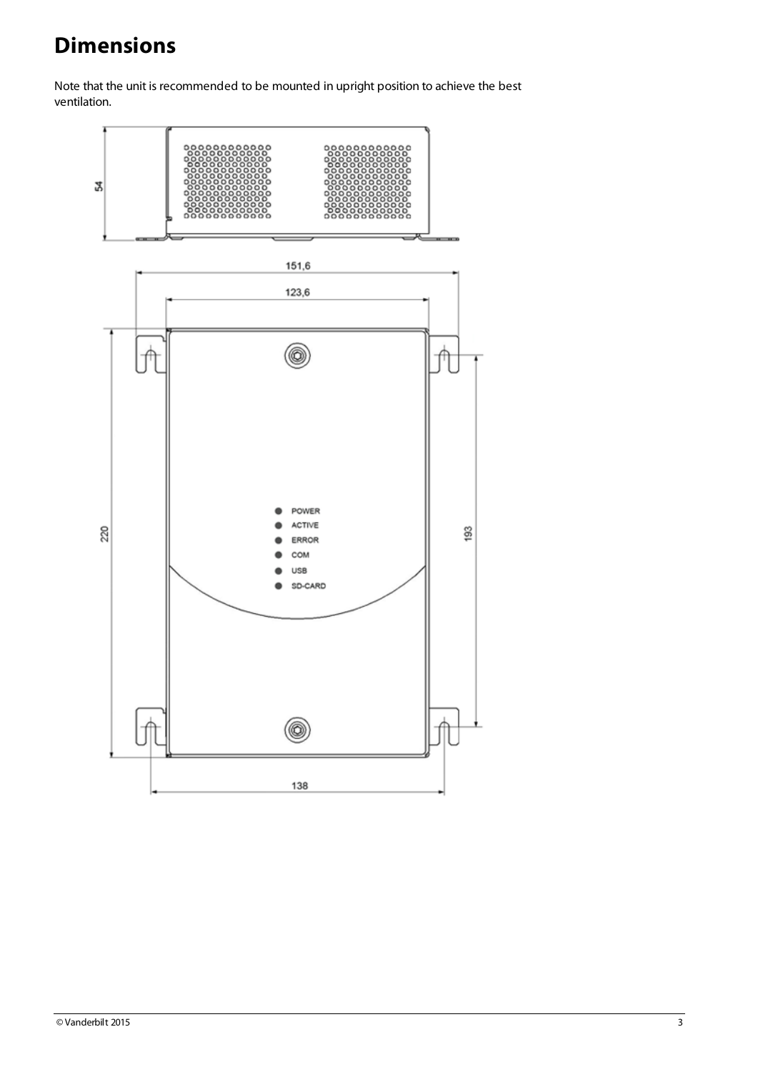# **Dimensions**

Note that the unit is recommended to be mounted in upright position to achieve the best ventilation.

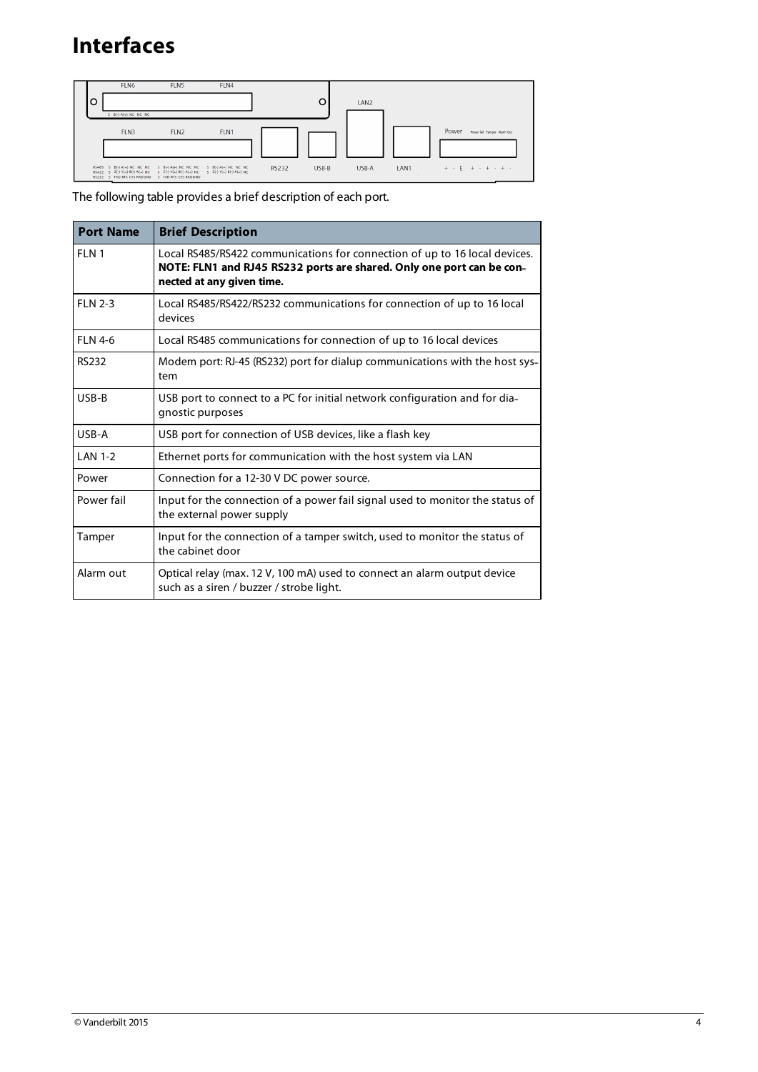## **Interfaces**



The following table provides a brief description of each port.

| <b>Port Name</b> | <b>Brief Description</b>                                                                                                                                                         |
|------------------|----------------------------------------------------------------------------------------------------------------------------------------------------------------------------------|
| FI N 1           | Local RS485/RS422 communications for connection of up to 16 local devices.<br>NOTE: FLN1 and RJ45 RS232 ports are shared. Only one port can be con-<br>nected at any given time. |
| FIN 2-3          | Local RS485/RS422/RS232 communications for connection of up to 16 local<br>devices                                                                                               |
| FIN4-6           | Local RS485 communications for connection of up to 16 local devices                                                                                                              |
| <b>RS232</b>     | Modem port: RJ-45 (RS232) port for dialup communications with the host sys-<br>tem                                                                                               |
| USB-B            | USB port to connect to a PC for initial network configuration and for dia-<br>gnostic purposes                                                                                   |
| USB-A            | USB port for connection of USB devices, like a flash key                                                                                                                         |
| <b>LAN 1-2</b>   | Ethernet ports for communication with the host system via LAN                                                                                                                    |
| Power            | Connection for a 12-30 V DC power source.                                                                                                                                        |
| Power fail       | Input for the connection of a power fail signal used to monitor the status of<br>the external power supply                                                                       |
| Tamper           | Input for the connection of a tamper switch, used to monitor the status of<br>the cabinet door                                                                                   |
| Alarm out        | Optical relay (max. 12 V, 100 mA) used to connect an alarm output device<br>such as a siren / buzzer / strobe light.                                                             |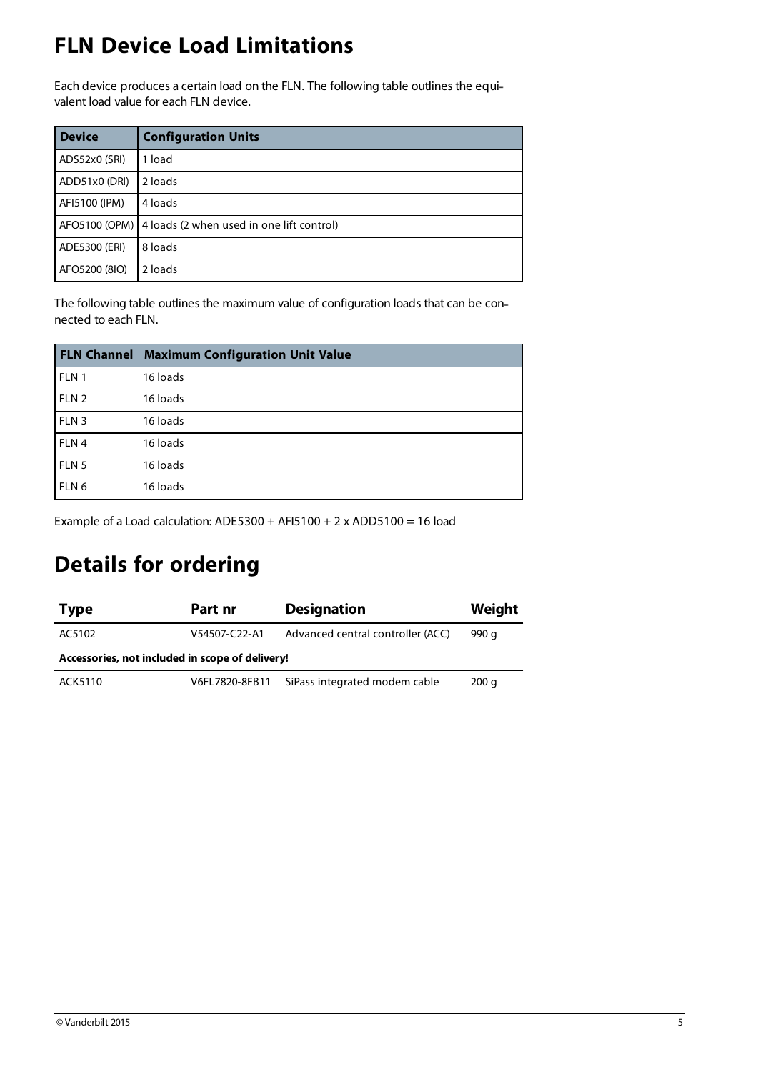## <span id="page-4-0"></span>**FLN Device Load Limitations**

Each device produces a certain load on the FLN. The following table outlines the equi valent load value for each FLN device.

| <b>Device</b> | <b>Configuration Units</b>                                |
|---------------|-----------------------------------------------------------|
| ADS52x0 (SRI) | 1 load                                                    |
| ADD51x0 (DRI) | 2 loads                                                   |
| AFI5100 (IPM) | 4 loads                                                   |
|               | AFO5100 (OPM)   4 loads (2 when used in one lift control) |
| ADE5300 (ERI) | 8 loads                                                   |
| AFO5200 (8IO) | 2 loads                                                   |

The following table outlines the maximum value of configuration loads that can be con nected to each FLN.

|                  | <b>FLN Channel   Maximum Configuration Unit Value</b> |
|------------------|-------------------------------------------------------|
| FLN 1            | 16 loads                                              |
| FLN <sub>2</sub> | 16 loads                                              |
| FLN <sub>3</sub> | 16 loads                                              |
| FLN <sub>4</sub> | 16 loads                                              |
| FLN <sub>5</sub> | 16 loads                                              |
| FLN <sub>6</sub> | 16 loads                                              |

Example of a Load calculation:  $ADE5300 + AF15100 + 2 \times ADD5100 = 16$  load

#### **Details for ordering**

| <b>Type</b>                                     | Part nr        | <b>Designation</b>                | Weight |  |  |  |  |
|-------------------------------------------------|----------------|-----------------------------------|--------|--|--|--|--|
| AC5102                                          | V54507-C22-A1  | Advanced central controller (ACC) | 990 a  |  |  |  |  |
| Accessories, not included in scope of delivery! |                |                                   |        |  |  |  |  |
| ACK5110                                         | V6FL7820-8FB11 | SiPass integrated modem cable     | 200q   |  |  |  |  |